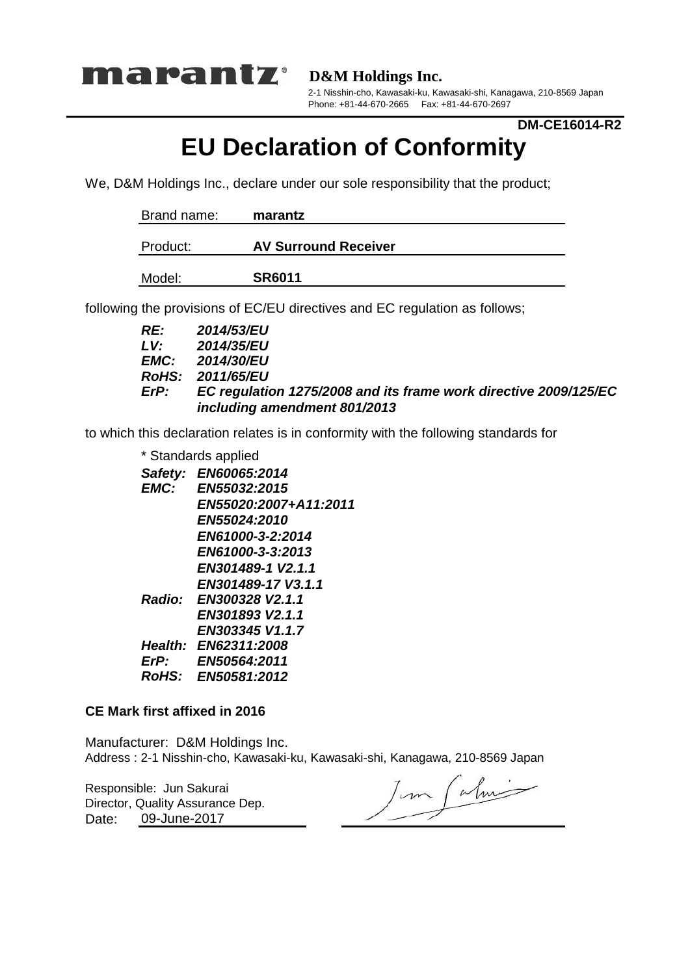

**D&M Holdings Inc.**

2-1 Nisshin-cho, Kawasaki-ku, Kawasaki-shi, Kanagawa, 210-8569 Japan Phone: +81-44-670-2665 Fax: +81-44-670-2697

## **DM-CE16014-R2**

## **EU Declaration of Conformity**

We, D&M Holdings Inc., declare under our sole responsibility that the product;

| Brand name: | marantz                     |
|-------------|-----------------------------|
| Product:    | <b>AV Surround Receiver</b> |
| Model:      | <b>SR6011</b>               |

following the provisions of EC/EU directives and EC regulation as follows;

| RE:  | <b>2014/53/EU</b>                                                |
|------|------------------------------------------------------------------|
| LV.  | 2014/35/EU                                                       |
|      | <b>EMC:</b> 2014/30/EU                                           |
|      | RoHS: 2011/65/EU                                                 |
| ErP: | EC regulation 1275/2008 and its frame work directive 2009/125/EC |
|      | including amendment 801/2013                                     |

to which this declaration relates is in conformity with the following standards for

| * Standards applied |                        |  |  |  |
|---------------------|------------------------|--|--|--|
|                     | Safety: EN60065:2014   |  |  |  |
| EMC:                | EN55032:2015           |  |  |  |
|                     | EN55020:2007+A11:2011  |  |  |  |
|                     | <b>EN55024:2010</b>    |  |  |  |
|                     | EN61000-3-2:2014       |  |  |  |
|                     | EN61000-3-3:2013       |  |  |  |
|                     | EN301489-1 V2.1.1      |  |  |  |
|                     | EN301489-17 V3.1.1     |  |  |  |
|                     | Radio: EN300328 V2.1.1 |  |  |  |
|                     | EN301893 V2.1.1        |  |  |  |
|                     | EN303345 V1.1.7        |  |  |  |
|                     | Health: EN62311:2008   |  |  |  |
| ErP:                | EN50564:2011           |  |  |  |
| RoHS:               | EN50581:2012           |  |  |  |

## **CE Mark first affixed in 2016**

Manufacturer: D&M Holdings Inc. Address : 2-1 Nisshin-cho, Kawasaki-ku, Kawasaki-shi, Kanagawa, 210-8569 Japan

Responsible: Jun Sakurai Date: Director, Quality Assurance Dep. 09-June-2017

Jun Calmi